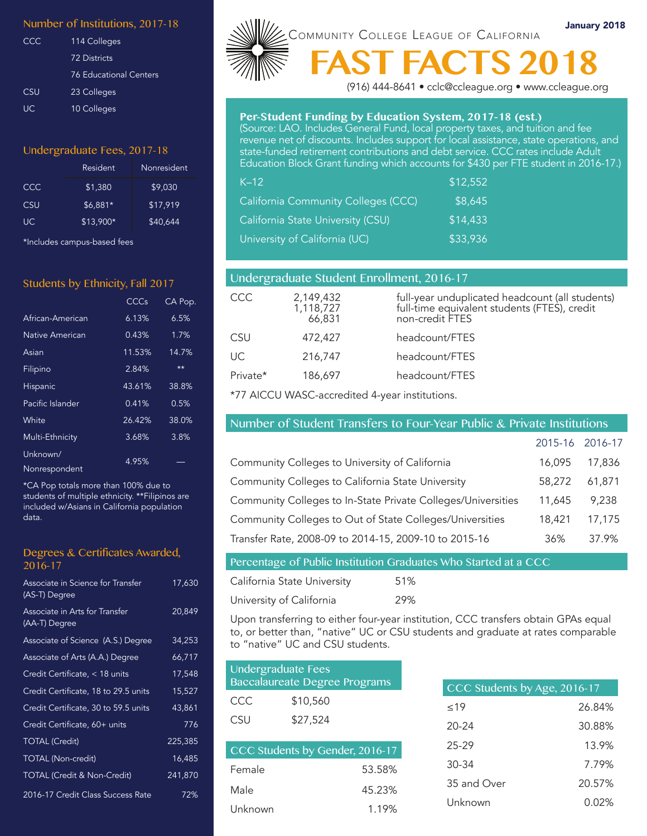#### Number of Institutions, 2017-18

| CCC       | 114 Colleges                  |
|-----------|-------------------------------|
|           | 72 Districts                  |
|           | <b>76 Educational Centers</b> |
| CSU       | 23 Colleges                   |
| <b>UC</b> | 10 Colleges                   |

#### Undergraduate Fees, 2017-18

|            | Resident  | Nonresident |
|------------|-----------|-------------|
| CCC.       | \$1,380   | \$9.030     |
| <b>CSU</b> | \$6.881*  | \$17.919    |
| UC.        | \$13,900* | \$40.644    |

\*Includes campus-based fees

#### Students by Ethnicity, Fall 2017

|                           | CCCs   | CA Pop. |
|---------------------------|--------|---------|
| African-American          | 6.13%  | 6.5%    |
| Native American           | 0.43%  | 1.7%    |
| Asian                     | 11.53% | 14.7%   |
| Filipino                  | 2.84%  | $**$    |
| <b>Hispanic</b>           | 43.61% | 38.8%   |
| Pacific Islander          | 0.41%  | 0.5%    |
| White                     | 26.42% | 38.0%   |
| Multi-Ethnicity           | 3.68%  | 3.8%    |
| Unknown/<br>Nonrespondent | 4.95%  |         |

\*CA Pop totals more than 100% due to students of multiple ethnicity. \*\*Filipinos are included w/Asians in California population data.

#### Degrees & Certificates Awarded, 2016-17

| Associate in Science for Transfer<br>(AS-T) Degree | 17,630  |
|----------------------------------------------------|---------|
| Associate in Arts for Transfer<br>(AA-T) Degree    | 20,849  |
| Associate of Science (A.S.) Degree                 | 34,253  |
| Associate of Arts (A.A.) Degree                    | 66,717  |
| Credit Certificate, < 18 units                     | 17,548  |
| Credit Certificate, 18 to 29.5 units               | 15,527  |
| Credit Certificate, 30 to 59.5 units               | 43,861  |
| Credit Certificate, 60+ units                      | 776     |
| <b>TOTAL (Credit)</b>                              | 225,385 |
| <b>TOTAL</b> (Non-credit)                          | 16,485  |
| <b>TOTAL (Credit &amp; Non-Credit)</b>             | 241,870 |
| 2016-17 Credit Class Success Rate                  | 72%     |



(916) 444-8641 • cclc@ccleague.org • www.ccleague.org

#### **Per-Student Funding by Education System, 2017-18 (est.)**

(Source: LAO. Includes General Fund, local property taxes, and tuition and fee revenue net of discounts. Includes support for local assistance, state operations, and state-funded retirement contributions and debt service. CCC rates include Adult Education Block Grant funding which accounts for \$430 per FTE student in 2016-17.)

| $K-12$                                     | \$12,552 |  |
|--------------------------------------------|----------|--|
| <b>California Community Colleges (CCC)</b> | \$8,645  |  |
| California State University (CSU)          | \$14,433 |  |
| University of California (UC)              | \$33,936 |  |

| Undergraduate Student Enrollment, 2016-17 |                                  |                                                                                                                    |
|-------------------------------------------|----------------------------------|--------------------------------------------------------------------------------------------------------------------|
| CCC                                       | 2,149,432<br>1,118,727<br>66,831 | full-year unduplicated headcount (all students)<br>full-time equivalent students (FTES), credit<br>non-credit FTES |
| CSU                                       | 472,427                          | headcount/FTES                                                                                                     |
| UC                                        | 216,747                          | headcount/FTES                                                                                                     |
| Private*                                  | 186,697                          | headcount/FTES                                                                                                     |

\*77 AICCU WASC-accredited 4-year institutions.

#### Number of Student Transfers to Four-Year Public & Private Institutions

|                                                              | 2015-16 2016-17 |        |
|--------------------------------------------------------------|-----------------|--------|
| Community Colleges to University of California               | 16,095          | 17,836 |
| Community Colleges to California State University            | 58,272          | 61.871 |
| Community Colleges to In-State Private Colleges/Universities | 11,645          | 9.238  |
| Community Colleges to Out of State Colleges/Universities     | 18,421          | 17,175 |
| Transfer Rate, 2008-09 to 2014-15, 2009-10 to 2015-16        | 36%             | 37 9%  |

# Percentage of Public Institution Graduates Who Started at a CCC

| California State University | 51% |
|-----------------------------|-----|
| University of California    | 29% |

Upon transferring to either four-year institution, CCC transfers obtain GPAs equal to, or better than, "native" UC or CSU students and graduate at rates comparable to "native" UC and CSU students.

| Undergraduate Fees<br><b>Baccalaureate Degree Programs</b> |                               |  |
|------------------------------------------------------------|-------------------------------|--|
| CCC                                                        | \$10,560                      |  |
| <b>CSU</b>                                                 | \$27,524                      |  |
|                                                            | CCC Students by Candon 2016 1 |  |

| CCC Students by Genuel, 2010-17 |        |  |
|---------------------------------|--------|--|
| Female                          | 53.58% |  |
| Male                            | 45.23% |  |
| Unknown                         | 1.19%  |  |

| CCC Students by Age, 2016-17 |        |  |
|------------------------------|--------|--|
| 19                           | 26.84% |  |
| 20-24                        | 30.88% |  |
| 25-29                        | 13.9%  |  |
| 30-34                        | 7.79%  |  |
| 35 and Over                  | 20.57% |  |
| Unknown                      | 0.02%  |  |